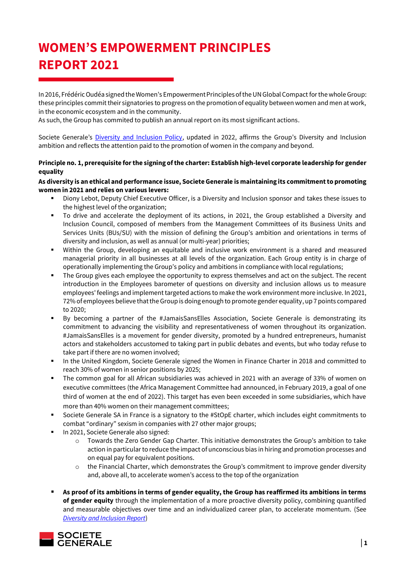# **WOMEN'S EMPOWERMENT PRINCIPLES REPORT 2021**

In 2016, Frédéric Oudéa signed the Women's Empowerment Principles of the UN Global Compact for the whole Group: these principles commit their signatories to progress on the promotion of equality between women and men at work, in the economic ecosystem and in the community.

As such, the Group has commited to publish an annual report on its most significant actions.

Societe Generale's [Diversity and Inclusion Policy,](https://www.societegenerale.com/sites/default/files/documents/Document%20RSE/politique_diversite_et_inclusion_en.pdf) updated in 2022, affirms the Group's Diversity and Inclusion ambition and reflects the attention paid to the promotion of women in the company and beyond.

# **Principle no. 1, prerequisite for the signing of the charter: Establish high-level corporate leadership for gender equality**

## **As diversity is an ethical and performance issue, Societe Generale is maintaining its commitmentto promoting women in 2021 and relies on various levers:**

- Diony Lebot, Deputy Chief Executive Officer, is a Diversity and Inclusion sponsor and takes these issues to the highest level of the organization;
- To drive and accelerate the deployment of its actions, in 2021, the Group established a Diversity and Inclusion Council, composed of members from the Management Committees of its Business Units and Services Units (BUs/SU) with the mission of defining the Group's ambition and orientations in terms of diversity and inclusion, as well as annual (or multi-year) priorities;
- Within the Group, developing an equitable and inclusive work environment is a shared and measured managerial priority in all businesses at all levels of the organization. Each Group entity is in charge of operationally implementing the Group's policy and ambitions in compliance with local regulations;
- The Group gives each employee the opportunity to express themselves and act on the subject. The recent introduction in the Employees barometer of questions on diversity and inclusion allows us to measure employees' feelings and implement targeted actions to make the work environment more inclusive. In 2021, 72% of employees believe that the Group is doing enough to promote gender equality, up 7 points compared to 2020;
- By becoming a partner of the #JamaisSansElles Association, Societe Generale is demonstrating its commitment to advancing the visibility and representativeness of women throughout its organization. #JamaisSansElles is a movement for gender diversity, promoted by a hundred entrepreneurs, humanist actors and stakeholders accustomed to taking part in public debates and events, but who today refuse to take part if there are no women involved;
- In the United Kingdom, Societe Generale signed the Women in Finance Charter in 2018 and committed to reach 30% of women in senior positions by 2025;
- The common goal for all African subsidiaries was achieved in 2021 with an average of 33% of women on executive committees (the Africa Management Committee had announced, in February 2019, a goal of one third of women at the end of 2022). This target has even been exceeded in some subsidiaries, which have more than 40% women on their management committees;
- Societe Generale SA in France is a signatory to the #StOpE charter, which includes eight commitments to combat "ordinary" sexism in companies with 27 other major groups;
- In 2021, Societe Generale also signed:
	- o Towards the Zero Gender Gap Charter. This initiative demonstrates the Group's ambition to take action in particular to reduce the impact of unconscious bias in hiring and promotion processes and on equal pay for equivalent positions.
	- $\circ$  the Financial Charter, which demonstrates the Group's commitment to improve gender diversity and, above all, to accelerate women's access to the top of the organization
- As proof of its ambitions in terms of gender equality, the Group has reaffirmed its ambitions in terms **of gender equity** through the implementation of a more proactive diversity policy, combining quantified and measurable objectives over time and an individualized career plan, to accelerate momentum. (Se[e](https://www.societegenerale.com/sites/default/files/documents/2022-04/Diversity%20and%20Inclusion%20Report%20-%20FY2021%20-%20EN.pdf) *[Diversity and Inclusion Report](https://www.societegenerale.com/sites/default/files/documents/2022-04/Diversity%20and%20Inclusion%20Report%20-%20FY2021%20-%20EN.pdf)*)

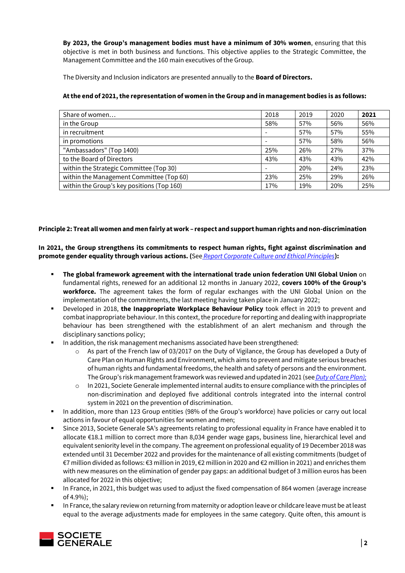**By 2023, the Group's management bodies must have a minimum of 30% women**, ensuring that this objective is met in both business and functions. This objective applies to the Strategic Committee, the Management Committee and the 160 main executives of the Group.

The Diversity and Inclusion indicators are presented annually to the **Board of Directors.**

## **At the end of 2021, the representation of women in the Group and in management bodies is as follows:**

| Share of women                             | 2018 | 2019 | 2020 | 2021 |
|--------------------------------------------|------|------|------|------|
| in the Group                               | 58%  | 57%  | 56%  | 56%  |
| in recruitment                             |      | 57%  | 57%  | 55%  |
| in promotions                              |      | 57%  | 58%  | 56%  |
| "Ambassadors" (Top 1400)                   | 25%  | 26%  | 27%  | 37%  |
| to the Board of Directors                  | 43%  | 43%  | 43%  | 42%  |
| within the Strategic Committee (Top 30)    |      | 20%  | 24%  | 23%  |
| within the Management Committee (Top 60)   | 23%  | 25%  | 29%  | 26%  |
| within the Group's key positions (Top 160) | 17%  | 19%  | 20%  | 25%  |

# **Principle 2: Treat all women and men fairly at work – respect and support human rights and non-discrimination**

# **In 2021, the Group strengthens its commitments to respect human rights, fight against discrimination and promote gender equality through various actions. (**See *[Report Corporate Culture and Ethical Principles](https://www.societegenerale.com/sites/default/files/documents/2022-03/Corporate-Culture-and-Ethical-Principles-2021.pdf)***):**

- **The global framework agreement with the international trade union federation UNI Global Union** on fundamental rights, renewed for an additional 12 months in January 2022, **covers 100% of the Group's workforce.** The agreement takes the form of regular exchanges with the UNI Global Union on the implementation of the commitments, the last meeting having taken place in January 2022;
- Developed in 2018, **the Inappropriate Workplace Behaviour Policy** took effect in 2019 to prevent and combat inappropriate behaviour. In this context, the procedure for reporting and dealing with inappropriate behaviour has been strengthened with the establishment of an alert mechanism and through the disciplinary sanctions policy;
- In addition, the risk management mechanisms associated have been strengthened:
	- $\circ$  As part of the French law of 03/2017 on the Duty of Vigilance, the Group has developed a Duty of Care Plan on Human Rights and Environment, which aims to prevent and mitigate serious breaches of human rights and fundamental freedoms, the health and safety of persons and the environment. TheGroup's risk management framework was reviewed and updated in 2021 (see *[Duty of Care](https://www.societegenerale.com/sites/default/files/documents/2022-03/Universal-Registration-Document-2022.pdf#page=341) Plan);*
	- $\circ$  In 2021, Societe Generale implemented internal audits to ensure compliance with the principles of non-discrimination and deployed five additional controls integrated into the internal control system in 2021 on the prevention of discrimination.
- In addition, more than 123 Group entities (98% of the Group's workforce) have policies or carry out local actions in favour of equal opportunities for women and men;
- Since 2013, Societe Generale SA's agreements relating to professional equality in France have enabled it to allocate €18.1 million to correct more than 8,034 gender wage gaps, business line, hierarchical level and equivalent seniority level in the company. The agreement on professional equality of 19 December 2018 was extended until 31 December 2022 and provides for the maintenance of all existing commitments (budget of €7 million divided as follows: €3 million in 2019, €2 million in 2020 and €2 million in 2021) and enriches them with new measures on the elimination of gender pay gaps: an additional budget of 3 million euros has been allocated for 2022 in this objective;
- In France, in 2021, this budget was used to adjust the fixed compensation of 864 women (average increase of 4.9%);
- **■** In France, the salary review on returning from maternity or adoption leave or childcare leave must be at least equal to the average adjustments made for employees in the same category. Quite often, this amount is

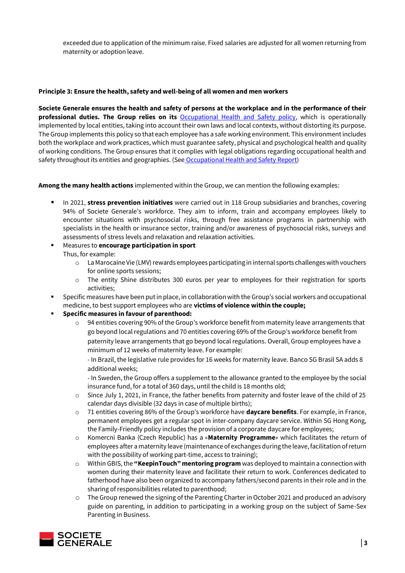exceeded due to application of the minimum raise. Fixed salaries are adjusted for all women returning from maternity or adoption leave.

#### **Principle 3: Ensure the health, safety and well-being of all women and men workers**

**Societe Generale ensures the health and safety of persons at the workplace [and in the performance of their](https://www.societegenerale.com/fr/responsabilite/employeur-responsable/sante-et-securite-au-travail)  [professional duties. The Group relies on its](https://www.societegenerale.com/fr/responsabilite/employeur-responsable/sante-et-securite-au-travail)** [Occupational Health and Safety policy,](https://www.societegenerale.com/sites/default/files/documents/Employeur_responsable/occupational-health-safety-policy.pdf) which is operationally implemented by local entities, taking into account their own laws and local contexts, without distorting its purpose. The Group implements this policy so that each employee has a safe working environment. This environment includes both the workplace and work practices, which must guarantee safety, physical and psychological health and quality of working conditions. The Group ensures that it complies with legal obligations regarding occupational health and safety throughout its entities and geographies. (See [Occupational Health and Safety](https://www.societegenerale.com/sites/default/files/documents/2022-03/Health%20and%20Safety%20Report_2021.pdf) Report)

**Among the many health actions** implemented within the Group, we can mention the following examples:

- In 2021, **stress prevention initiatives** were carried out in 118 Group subsidiaries and branches, covering 94% of Societe Generale's workforce. They aim to inform, train and accompany employees likely to encounter situations with psychosocial risks, through free assistance programs in partnership with specialists in the health or insurance sector, training and/or awareness of psychosocial risks, surveys and assessments of stress levels and relaxation and relaxation activities.
- Measures to **encourage participation in sport** Thus, for example:
	- o La Marocaine Vie (LMV) rewards employees participating in internal sports challenges with vouchers for online sports sessions;
	- o The entity Shine distributes 300 euros per year to employees for their registration for sports activities;
- Specific measures have been put in place, in collaboration with the Group's social workers and occupational medicine, to best support employees who are **victims of violence within the couple;**
- **Specific measures in favour of parenthood:**
	- $\circ$  94 entities covering 90% of the Group's workforce benefit from maternity leave arrangements that go beyond local regulations and 70 entities covering 69% of the Group's workforce benefit from paternity leave arrangements that go beyond local regulations. Overall, Group employees have a minimum of 12 weeks of maternity leave. For example:

- In Brazil, the legislative rule provides for 16 weeks for maternity leave. Banco SG Brasil SA adds 8 additional weeks;

- In Sweden, the Group offers a supplement to the allowance granted to the employee by the social insurance fund, for a total of 360 days, until the child is 18 months old;

- $\circ$  Since July 1, 2021, in France, the father benefits from paternity and foster leave of the child of 25 calendar days divisible (32 days in case of multiple births);
- o 71 entities covering 86% of the Group's workforce have **daycare benefits**. For example, in France, permanent employees get a regular spot in inter-company daycare service. Within SG Hong Kong, the Family-Friendly policy includes the provision of a corporate daycare for employees;
- o Komercni Banka (Czech Republic) has a «**Maternity Programme**» which facilitates the return of employees after a maternity leave (maintenance of exchanges during the leave, facilitation of return with the possibility of working part-time, access to training);
- o Within GBIS, the **"KeepinTouch" mentoring program** was deployed to maintain a connection with women during their maternity leave and facilitate their return to work. Conferences dedicated to fatherhood have also been organized to accompany fathers/second parents in their role and in the sharing of responsibilities related to parenthood;
- o The Group renewed the signing of the Parenting Charter in October 2021 and produced an advisory guide on parenting, in addition to participating in a working group on the subject of Same-Sex Parenting in Business.

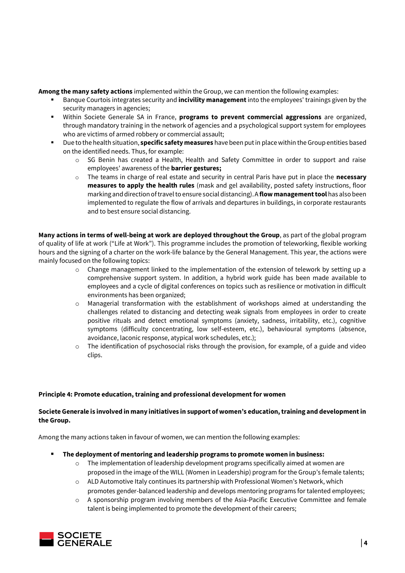**Among the many safety actions** implemented within the Group, we can mention the following examples:

- Banque Courtois integrates security and **incivility management** into the employees' trainings given by the security managers in agencies;
- Within Societe Generale SA in France, **programs to prevent commercial aggressions** are organized, through mandatory training in the network of agencies and a psychological support system for employees who are victims of armed robbery or commercial assault;
- Due to the health situation, **specific safety measures** have been put in place within the Group entities based on the identified needs. Thus, for example:
	- o SG Benin has created a Health, Health and Safety Committee in order to support and raise employees' awareness of the **barrier gestures;**
	- o The teams in charge of real estate and security in central Paris have put in place the **necessary measures to apply the health rules** (mask and gel availability, posted safety instructions, floor marking and direction of travel to ensure social distancing). A **flow management tool** has also been implemented to regulate the flow of arrivals and departures in buildings, in corporate restaurants and to best ensure social distancing.

**Many actions in terms of well-being at work are deployed throughout the Group**, as part of the global program of quality of life at work ("Life at Work"). This programme includes the promotion of teleworking, flexible working hours and the signing of a charter on the work-life balance by the General Management. This year, the actions were mainly focused on the following topics:

- $\circ$  Change management linked to the implementation of the extension of telework by setting up a comprehensive support system. In addition, a hybrid work guide has been made available to employees and a cycle of digital conferences on topics such as resilience or motivation in difficult environments has been organized;
- o Managerial transformation with the establishment of workshops aimed at understanding the challenges related to distancing and detecting weak signals from employees in order to create positive rituals and detect emotional symptoms (anxiety, sadness, irritability, etc.), cognitive symptoms (difficulty concentrating, low self-esteem, etc.), behavioural symptoms (absence, avoidance, laconic response, atypical work schedules, etc.);
- $\circ$  The identification of psychosocial risks through the provision, for example, of a guide and video clips.

#### **Principle 4: Promote education, training and professional development for women**

#### **Societe Generale is involved in many initiatives in support of women's education, training and development in the Group.**

Among the many actions taken in favour of women, we can mention the following examples:

- **The deployment of mentoring and leadership programs to promote women in business:** 
	- $\circ$  The implementation of leadership development programs specifically aimed at women are proposed in the image of the WILL (Women in Leadership) program for the Group's female talents;
	- $\circ$  ALD Automotive Italy continues its partnership with Professional Women's Network, which promotes gender-balanced leadership and develops mentoring programs for talented employees;
	- o A sponsorship program involving members of the Asia-Pacific Executive Committee and female talent is being implemented to promote the development of their careers;

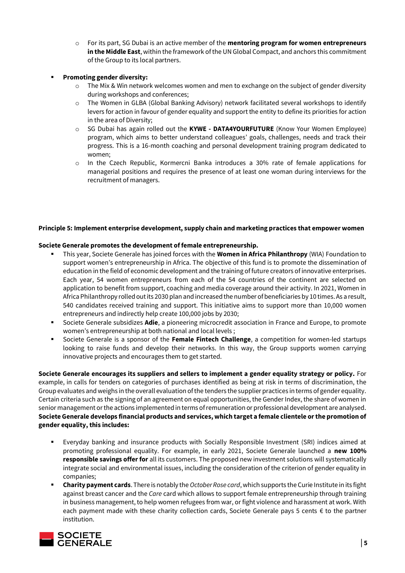o For its part, SG Dubai is an active member of the **mentoring program for women entrepreneurs in the Middle East**, within the framework of the UN Global Compact, and anchors this commitment of the Group to its local partners.

# ▪ **Promoting gender diversity:**

- $\circ$  The Mix & Win network welcomes women and men to exchange on the subject of gender diversity during workshops and conferences;
- o The Women in GLBA (Global Banking Advisory) network facilitated several workshops to identify levers for action in favour of gender equality and support the entity to define its priorities for action in the area of Diversity;
- o SG Dubai has again rolled out the **KYWE - DATA4YOURFUTURE** (Know Your Women Employee) program, which aims to better understand colleagues' goals, challenges, needs and track their progress. This is a 16-month coaching and personal development training program dedicated to women;
- o In the Czech Republic, Kormercni Banka introduces a 30% rate of female applications for managerial positions and requires the presence of at least one woman during interviews for the recruitment of managers.

#### **Principle 5: Implement enterprise development, supply chain and marketing practices that empower women**

#### **Societe Generale promotes the development of female entrepreneurship.**

- This year, Societe Generale has joined forces with the **[Women in Africa Philanthropy](https://wia-initiative.com/wia-philanthropy/)** (WIA) Foundation to support women's entrepreneurship in Africa. The objective of this fund is to promote the dissemination of education in the field of economic development and the training of future creators of innovative enterprises. Each year, 54 women entrepreneurs from each of the 54 countries of the continent are selected on application to benefit from support, coaching and media coverage around their activity. In 2021, Women in Africa Philanthropy rolled out its 2030 plan and increased the number of beneficiaries by 10 times. As a result, 540 candidates received training and support. This initiative aims to support more than 10,000 women entrepreneurs and indirectly help create 100,000 jobs by 2030;
- Societe Generale subsidizes **Adie**, a pioneering microcredit association in France and Europe, to promote women's entrepreneurship at both national and local levels ;
- Societe Generale is a sponsor of the **Female Fintech Challenge**, a competition for women-led startups looking to raise funds and develop their networks. In this way, the Group supports women carrying innovative projects and encourages them to get started.

**Societe Generale encourages its suppliers and sellers to implement a gender equality strategy or policy.** For example, in calls for tenders on categories of purchases identified as being at risk in terms of discrimination, the Group evaluates and weighs in the overall evaluation of the tenders the supplier practices in terms of gender equality. Certain criteria such as the signing of an agreement on equal opportunities, the Gender Index, the share of women in senior management or the actions implemented in terms of remuneration or professional development are analysed. **Societe Generale develops financial products and services, which target a female clientele or the promotion of gender equality, this includes:**

- Everyday banking and insurance products with Socially Responsible Investment (SRI) indices aimed at promoting professional equality. For example, in early 2021, Societe Generale launched a **new 100% responsible savings offer for** all its customers. The proposed new investment solutions will systematically integrate social and environmental issues, including the consideration of the criterion of gender equality in companies;
- **Charity payment cards**. There is notably the *October Rose card*, which supports the Curie Institute in its fight against breast cancer and the *Care* card which allows to support female entrepreneurship through training in business management, to help women refugees from war, or fight violence and harassment at work. With each payment made with these charity collection cards, Societe Generale pays 5 cents € to the partner institution.

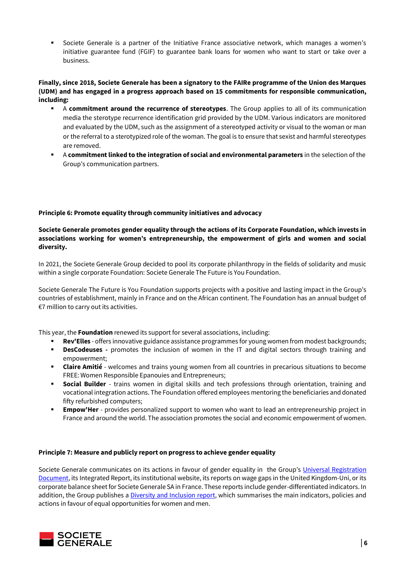▪ Societe Generale is a partner of the Initiative France associative network, which manages a women's initiative guarantee fund (FGIF) to guarantee bank loans for women who want to start or take over a business.

#### **Finally, since 2018, Societe Generale has been a signatory to the FAIRe programme of the Union des Marques (UDM) and has engaged in a progress approach based on 15 commitments for responsible communication, including:**

- A **commitment around the recurrence of stereotypes**. The Group applies to all of its communication media the sterotype recurrence identification grid provided by the UDM. Various indicators are monitored and evaluated by the UDM, such as the assignment of a stereotyped activity or visual to the woman or man or the referral to a sterotypized role of the woman. The goal is to ensure that sexist and harmful stereotypes are removed.
- A **commitment linked to the integration of social and environmental parameters** in the selection of the Group's communication partners.

# **Principle 6: Promote equality through community initiatives and advocacy**

## **Societe Generale promotes gender equality through the actions of its Corporate Foundation, which invests in associations working for women's entrepreneurship, the empowerment of girls and women and social diversity.**

In 2021, the Societe Generale Group decided to pool its corporate philanthropy in the fields of solidarity and music within a single corporate Foundation: Societe Generale The Future is You Foundation.

Societe Generale The Future is You Foundation supports projects with a positive and lasting impact in the Group's countries of establishment, mainly in France and on the African continent. The Foundation has an annual budget of €7 million to carry out its activities.

This year, the **Foundation** renewed its support for several associations, including:

- Rev'Elles offers innovative guidance assistance programmes for young women from modest backgrounds;
- **DesCodeuses** promotes the inclusion of women in the IT and digital sectors through training and empowerment;
- **Claire Amitié** welcomes and trains young women from all countries in precarious situations to become FREE: Women Responsible Epanouies and Entrepreneurs;
- **Social Builder** trains women in digital skills and tech professions through orientation, training and vocational integration actions. The Foundation offered employees mentoring the beneficiaries and donated fifty refurbished computers;
- **Empow'Her** provides personalized support to women who want to lead an entrepreneurship project in France and around the world. The association promotes the social and economic empowerment of women.

#### **Principle 7: Measure and publicly report on progress to achieve gender equality**

Societe Generale communicates on its actions in favour of gender equality in the Group's Universal Registration [Document,](https://www.societegenerale.com/sites/default/files/documents/2022-03/Universal-Registration-Document-2022.pdf#page=316) its Integrated Report, its institutional website, its reports on wage gaps in the United Kingdom-Uni, or its corporate balance sheet for Societe Generale SA in France. These reports include gender-differentiated indicators. In addition, the Group publishes a [Diversity and Inclusion](https://www.societegenerale.com/sites/default/files/documents/2022-04/Diversity%20and%20Inclusion%20Report%20-%20FY2021%20-%20EN.pdf) report, which summarises the main indicators, policies and actions in favour of equal opportunities for women and men.